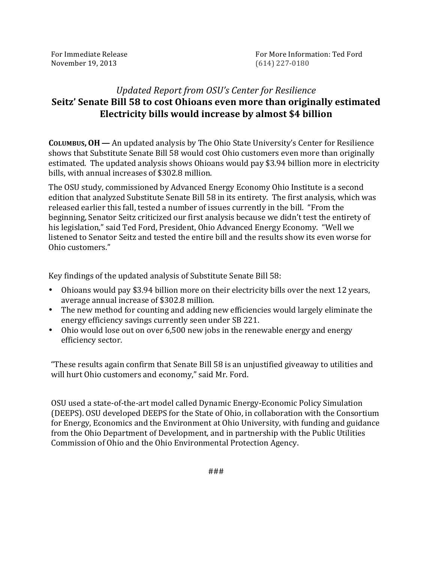| For Immediate Release |  |
|-----------------------|--|
| November 19, 2013     |  |

## *Updated'Report'from'OSU's'Center'for'Resilience* **Seitz' Senate Bill 58 to cost Ohioans even more than originally estimated** Electricity bills would increase by almost \$4 billion

**COLUMBUS, OH** — An updated analysis by The Ohio State University's Center for Resilience shows that Substitute Senate Bill 58 would cost Ohio customers even more than originally estimated. The updated analysis shows Ohioans would pay \$3.94 billion more in electricity bills, with annual increases of \$302.8 million.

The OSU study, commissioned by Advanced Energy Economy Ohio Institute is a second edition that analyzed Substitute Senate Bill 58 in its entirety. The first analysis, which was released earlier this fall, tested a number of issues currently in the bill. "From the beginning, Senator Seitz criticized our first analysis because we didn't test the entirety of his legislation," said Ted Ford, President, Ohio Advanced Energy Economy. "Well we listened to Senator Seitz and tested the entire bill and the results show its even worse for Ohio customers."

Key findings of the updated analysis of Substitute Senate Bill 58:

- Ohioans would pay \$3.94 billion more on their electricity bills over the next 12 years, average annual increase of \$302.8 million.
- The new method for counting and adding new efficiencies would largely eliminate the energy efficiency savings currently seen under SB 221.
- Ohio would lose out on over 6,500 new jobs in the renewable energy and energy efficiency sector.

"These results again confirm that Senate Bill 58 is an unjustified giveaway to utilities and will hurt Ohio customers and economy," said Mr. Ford.

OSU used a state-of-the-art model called Dynamic Energy-Economic Policy Simulation (DEEPS). OSU developed DEEPS for the State of Ohio, in collaboration with the Consortium for Energy, Economics and the Environment at Ohio University, with funding and guidance from the Ohio Department of Development, and in partnership with the Public Utilities Commission of Ohio and the Ohio Environmental Protection Agency.